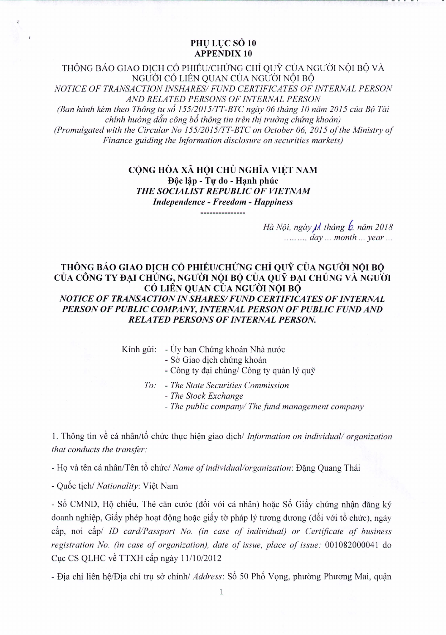## PHU LUC SỐ 10 **APPENDIX 10**

THÔNG BÁO GIAO DICH CỔ PHIẾU/CHỨNG CHỈ QUỸ CỦA NGƯỜI NỘI BỘ VÀ NGƯỜI CÓ LIÊN QUAN CỦA NGƯỜI NÔI BÔ NOTICE OF TRANSACTION INSHARES/ FUND CERTIFICATES OF INTERNAL PERSON AND RELATED PERSONS OF INTERNAL PERSON (Ban hành kèm theo Thông tư số 155/2015/TT-BTC ngày 06 tháng 10 năm 2015 của Bộ Tài chính hướng dẫn công bố thông tin trên thi trường chứng khoán) (Promulgated with the Circular No 155/2015/TT-BTC on October 06, 2015 of the Ministry of Finance guiding the Information disclosure on securities markets)

## CỘNG HÒA XÃ HỘI CHỦ NGHĨA VIỆT NAM Độc lập - Tự do - Hạnh phúc THE SOCIALIST REPUBLIC OF VIETNAM **Independence - Freedom - Happiness**

Hà Nội, ngày *IA* tháng b. năm 2018 ........,  $day \dots$  month  $\dots$  year  $\dots$ 

## THÔNG BÁO GIAO DICH CỔ PHIẾU/CHỨNG CHỈ QUỸ CỦA NGƯỜI NÔI BÔ CỦA CÔNG TY ĐẠI CHÚNG, NGƯỜI NỘI BỘ CỦA QUỸ ĐẠI CHÚNG VÀ NGƯỜI CÓ LIỀN QUAN CỦA NGƯỜI NỘI BỘ NOTICE OF TRANSACTION IN SHARES/ FUND CERTIFICATES OF INTERNAL PERSON OF PUBLIC COMPANY, INTERNAL PERSON OF PUBLIC FUND AND **RELATED PERSONS OF INTERNAL PERSON.**

Kính gửi: - Ủy ban Chứng khoán Nhà nước

- Sở Giao dịch chứng khoán

- Công ty đại chúng/ Công ty quản lý quỹ

To: - The State Securities Commission

- The Stock Exchange

- The public company/ The fund management company

1. Thông tin về cá nhân/tổ chức thực hiện giao dịch/ Information on individual/ organization that conducts the transfer:

- Họ và tên cá nhân/Tên tổ chức/ Name of individual/organization: Đặng Quang Thái

- Quốc tịch/ Nationality: Việt Nam

- Số CMND, Hộ chiếu, Thẻ căn cước (đối với cá nhân) hoặc Số Giấy chứng nhận đăng ký doanh nghiệp, Giấy phép hoạt động hoặc giấy tờ pháp lý tương đương (đối với tổ chức), ngày câp, noi câp/ ID card/Passport No. (in case of individual) or Certificate of business registration No. (in case of organization), date of issue, place of issue: 001082000041 do Cục CS QLHC về TTXH cấp ngày 11/10/2012

- Đia chỉ liên hệ/Đia chỉ trụ sở chính/ *Address*: Số 50 Phố Vong, phường Phương Mai, quân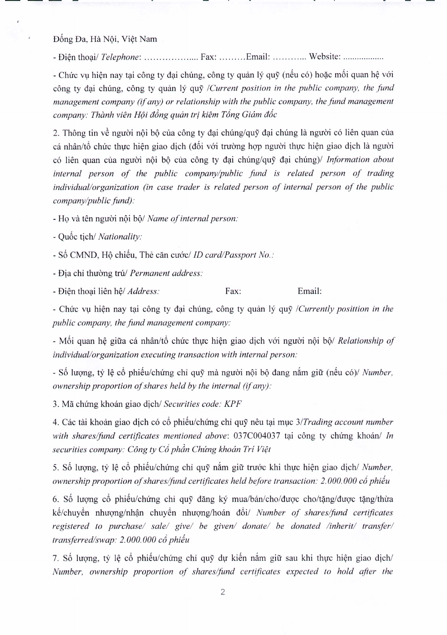Đống Đa, Hà Nôi, Việt Nam

- Di~n thoai/ *Telephone:* Fax: Email: Website: ..

- Chức vu hiện nay tại công ty đại chúng, công ty quản lý quỹ (nếu có) hoặc mối quan hệ với cong ty dai chung, cong ty quan Iy quy */Current position in the public company, the fund management company (if any) or relationship with the public company, the fund management company: Thanh vien H(Ji dong quem tri kiem Timg Giam adc*

2. Thông tin về người nội bộ của công ty đại chúng/quỹ đại chúng là người có liên quan của cá nhân/tổ chức thực hiện giao dịch (đối với trường hợp người thực hiện giao dịch là người c6 lien quan cua nguoi noi b<) cua cong ty dai chung/quy dai chungj/ *Information about internal person of the public company/public fund is related person of trading individual/organization (in case trader is related person of internal person of the public company/public fund):*

- Ho và tên người nội bộ/ *Name of internal person:* 

- Quốc tich/ *Nationality*:

- Số CMND, Hộ chiếu, Thẻ căn cước/ *ID card/Passport No.*:

- Dia chi thuong tru/ *Permanent address:*

- Điện thoại liên hệ/ *Address*: Fax: Email:

- Chirc vu hien nay tai cong ty dai chung, cong ty quan Iy quy *[Currently posittion in the public company, the fund management company:*

- Mối quan hệ giữa cá nhân/tổ chức thưc hiện giao dịch với người nội bộ/ *Relationship of individual/organization executing transaction with internal person:*

- Số lượng, tỷ lệ cổ phiếu/chứng chỉ quỹ mà người nội bộ đang năm giữ (nếu có)/ *Number*, *ownership proportion of shares held by the internal (if any):*

3. Mil chlrng khoan giao dich! *Securities code: KPF*

4. Các tài khoản giao dịch có cổ phiếu/chứng chỉ quỹ nêu tại mục  $3/Trading$  *account number with shares/fund certificates mentioned above:* 037C004037 tai công ty chứng khoán/ *In securities company: C6ng ty* C6 *phdn Chung khoan Tri Vi?t*

5. Số lượng, tỷ lệ cổ phiếu/chứng chỉ quỹ nắm giữ trước khi thực hiện giao dịch/ *Number*, *ownership proportion of shares(fund certificates held before transaction:* 2. *000. 000* cd *phdu*

6. Số lượng cổ phiếu/chứng chỉ quỹ đăng ký mua/bán/cho/được cho/tặng/được tặng/thừa k~/chuy~n nhuqng/nh~n chuy~n nhuqng/hoan d6i/ *Number of shares/fund certificates registered to purchase/ sale/ give/ be given/ donate/ be donated /inherit/ transfer/ transferred/swap:* 2. *000. 000* cd *phdu*

7. Số lượng, tỷ lệ cổ phiếu/chứng chỉ quỹ dự kiến nắm giữ sau khi thực hiện giao dịch/ *Number, ownership proportion of sharesljimd certificates expected to hold after the*